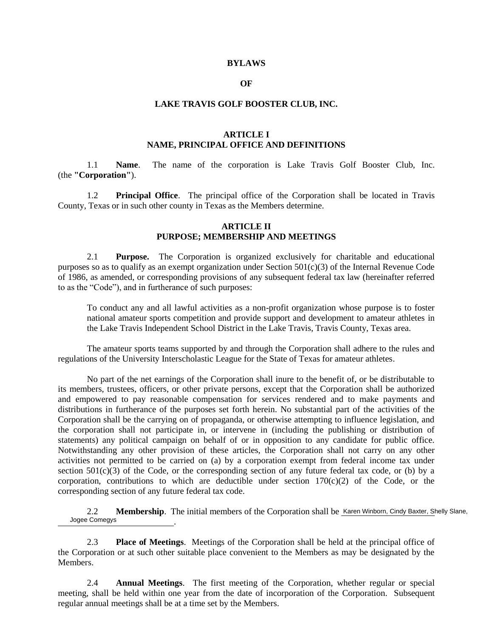#### **BYLAWS**

### **OF**

#### **LAKE TRAVIS GOLF BOOSTER CLUB, INC.**

### **ARTICLE I NAME, PRINCIPAL OFFICE AND DEFINITIONS**

1.1 **Name**. The name of the corporation is Lake Travis Golf Booster Club, Inc. (the **"Corporation"**).

1.2 **Principal Office**. The principal office of the Corporation shall be located in Travis County, Texas or in such other county in Texas as the Members determine.

### **ARTICLE II PURPOSE; MEMBERSHIP AND MEETINGS**

2.1 **Purpose.** The Corporation is organized exclusively for charitable and educational purposes so as to qualify as an exempt organization under Section 501(c)(3) of the Internal Revenue Code of 1986, as amended, or corresponding provisions of any subsequent federal tax law (hereinafter referred to as the "Code"), and in furtherance of such purposes:

To conduct any and all lawful activities as a non-profit organization whose purpose is to foster national amateur sports competition and provide support and development to amateur athletes in the Lake Travis Independent School District in the Lake Travis, Travis County, Texas area.

The amateur sports teams supported by and through the Corporation shall adhere to the rules and regulations of the University Interscholastic League for the State of Texas for amateur athletes.

No part of the net earnings of the Corporation shall inure to the benefit of, or be distributable to its members, trustees, officers, or other private persons, except that the Corporation shall be authorized and empowered to pay reasonable compensation for services rendered and to make payments and distributions in furtherance of the purposes set forth herein. No substantial part of the activities of the Corporation shall be the carrying on of propaganda, or otherwise attempting to influence legislation, and the corporation shall not participate in, or intervene in (including the publishing or distribution of statements) any political campaign on behalf of or in opposition to any candidate for public office. Notwithstanding any other provision of these articles, the Corporation shall not carry on any other activities not permitted to be carried on (a) by a corporation exempt from federal income tax under section  $501(c)(3)$  of the Code, or the corresponding section of any future federal tax code, or (b) by a corporation, contributions to which are deductible under section  $170(c)(2)$  of the Code, or the corresponding section of any future federal tax code.

2.2 Membership. The initial members of the Corporation shall be Karen Winborn, Cindy Baxter, Shelly Slane, . Jogee Comegys

2.3 **Place of Meetings**. Meetings of the Corporation shall be held at the principal office of the Corporation or at such other suitable place convenient to the Members as may be designated by the Members.

2.4 **Annual Meetings**. The first meeting of the Corporation, whether regular or special meeting, shall be held within one year from the date of incorporation of the Corporation. Subsequent regular annual meetings shall be at a time set by the Members.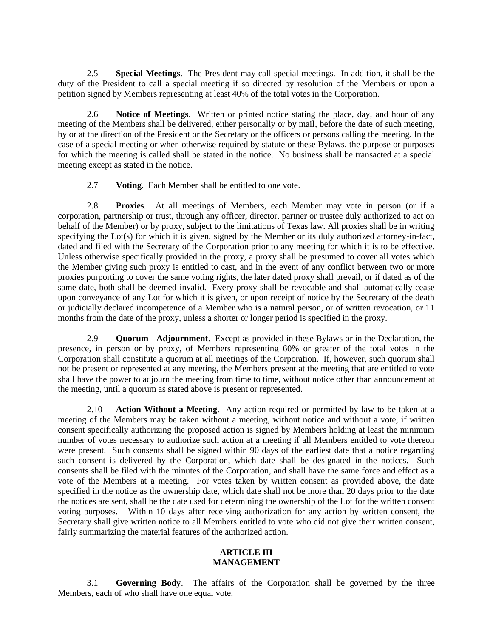2.5 **Special Meetings**. The President may call special meetings. In addition, it shall be the duty of the President to call a special meeting if so directed by resolution of the Members or upon a petition signed by Members representing at least 40% of the total votes in the Corporation.

2.6 **Notice of Meetings**. Written or printed notice stating the place, day, and hour of any meeting of the Members shall be delivered, either personally or by mail, before the date of such meeting, by or at the direction of the President or the Secretary or the officers or persons calling the meeting. In the case of a special meeting or when otherwise required by statute or these Bylaws, the purpose or purposes for which the meeting is called shall be stated in the notice. No business shall be transacted at a special meeting except as stated in the notice.

2.7 **Voting**. Each Member shall be entitled to one vote.

2.8 **Proxies**. At all meetings of Members, each Member may vote in person (or if a corporation, partnership or trust, through any officer, director, partner or trustee duly authorized to act on behalf of the Member) or by proxy, subject to the limitations of Texas law. All proxies shall be in writing specifying the Lot(s) for which it is given, signed by the Member or its duly authorized attorney-in-fact, dated and filed with the Secretary of the Corporation prior to any meeting for which it is to be effective. Unless otherwise specifically provided in the proxy, a proxy shall be presumed to cover all votes which the Member giving such proxy is entitled to cast, and in the event of any conflict between two or more proxies purporting to cover the same voting rights, the later dated proxy shall prevail, or if dated as of the same date, both shall be deemed invalid. Every proxy shall be revocable and shall automatically cease upon conveyance of any Lot for which it is given, or upon receipt of notice by the Secretary of the death or judicially declared incompetence of a Member who is a natural person, or of written revocation, or 11 months from the date of the proxy, unless a shorter or longer period is specified in the proxy.

2.9 **Quorum - Adjournment**. Except as provided in these Bylaws or in the Declaration, the presence, in person or by proxy, of Members representing 60% or greater of the total votes in the Corporation shall constitute a quorum at all meetings of the Corporation. If, however, such quorum shall not be present or represented at any meeting, the Members present at the meeting that are entitled to vote shall have the power to adjourn the meeting from time to time, without notice other than announcement at the meeting, until a quorum as stated above is present or represented.

2.10 **Action Without a Meeting**. Any action required or permitted by law to be taken at a meeting of the Members may be taken without a meeting, without notice and without a vote, if written consent specifically authorizing the proposed action is signed by Members holding at least the minimum number of votes necessary to authorize such action at a meeting if all Members entitled to vote thereon were present. Such consents shall be signed within 90 days of the earliest date that a notice regarding such consent is delivered by the Corporation, which date shall be designated in the notices. Such consents shall be filed with the minutes of the Corporation, and shall have the same force and effect as a vote of the Members at a meeting. For votes taken by written consent as provided above, the date specified in the notice as the ownership date, which date shall not be more than 20 days prior to the date the notices are sent, shall be the date used for determining the ownership of the Lot for the written consent voting purposes. Within 10 days after receiving authorization for any action by written consent, the Secretary shall give written notice to all Members entitled to vote who did not give their written consent, fairly summarizing the material features of the authorized action.

# **ARTICLE III MANAGEMENT**

3.1 **Governing Body**. The affairs of the Corporation shall be governed by the three Members, each of who shall have one equal vote.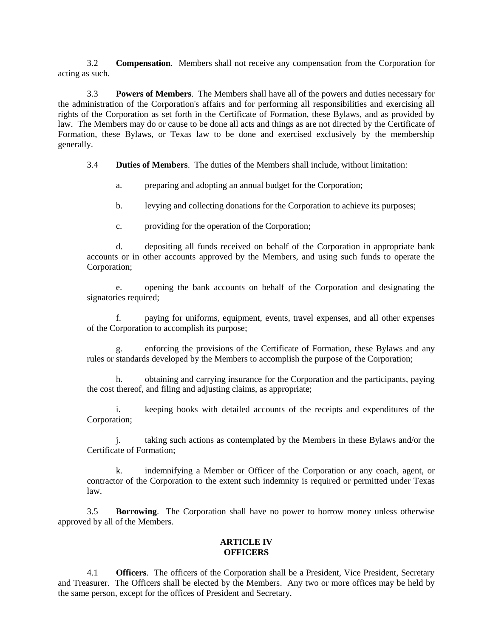3.2 **Compensation**. Members shall not receive any compensation from the Corporation for acting as such.

3.3 **Powers of Members**. The Members shall have all of the powers and duties necessary for the administration of the Corporation's affairs and for performing all responsibilities and exercising all rights of the Corporation as set forth in the Certificate of Formation, these Bylaws, and as provided by law. The Members may do or cause to be done all acts and things as are not directed by the Certificate of Formation, these Bylaws, or Texas law to be done and exercised exclusively by the membership generally.

3.4 **Duties of Members**. The duties of the Members shall include, without limitation:

- a. preparing and adopting an annual budget for the Corporation;
- b. levying and collecting donations for the Corporation to achieve its purposes;
- c. providing for the operation of the Corporation;

d. depositing all funds received on behalf of the Corporation in appropriate bank accounts or in other accounts approved by the Members, and using such funds to operate the Corporation;

e. opening the bank accounts on behalf of the Corporation and designating the signatories required;

f. paying for uniforms, equipment, events, travel expenses, and all other expenses of the Corporation to accomplish its purpose;

g. enforcing the provisions of the Certificate of Formation, these Bylaws and any rules or standards developed by the Members to accomplish the purpose of the Corporation;

h. obtaining and carrying insurance for the Corporation and the participants, paying the cost thereof, and filing and adjusting claims, as appropriate;

i. keeping books with detailed accounts of the receipts and expenditures of the Corporation;

j. taking such actions as contemplated by the Members in these Bylaws and/or the Certificate of Formation;

k. indemnifying a Member or Officer of the Corporation or any coach, agent, or contractor of the Corporation to the extent such indemnity is required or permitted under Texas law.

3.5 **Borrowing**. The Corporation shall have no power to borrow money unless otherwise approved by all of the Members.

### **ARTICLE IV OFFICERS**

4.1 **Officers**. The officers of the Corporation shall be a President, Vice President, Secretary and Treasurer. The Officers shall be elected by the Members. Any two or more offices may be held by the same person, except for the offices of President and Secretary.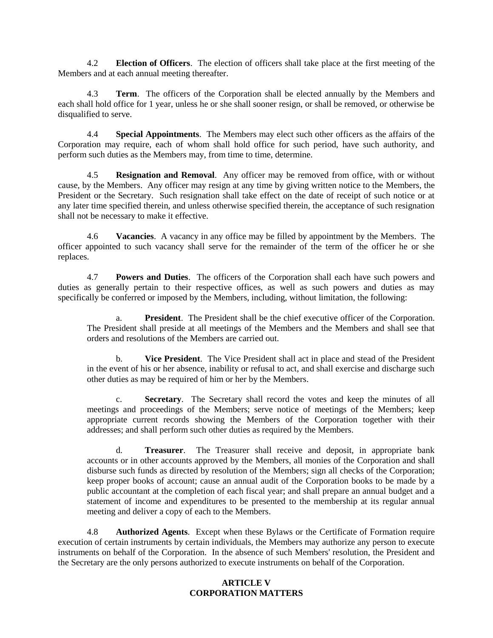4.2 **Election of Officers**. The election of officers shall take place at the first meeting of the Members and at each annual meeting thereafter.

4.3 **Term**. The officers of the Corporation shall be elected annually by the Members and each shall hold office for 1 year, unless he or she shall sooner resign, or shall be removed, or otherwise be disqualified to serve.

4.4 **Special Appointments**. The Members may elect such other officers as the affairs of the Corporation may require, each of whom shall hold office for such period, have such authority, and perform such duties as the Members may, from time to time, determine.

4.5 **Resignation and Removal**. Any officer may be removed from office, with or without cause, by the Members. Any officer may resign at any time by giving written notice to the Members, the President or the Secretary. Such resignation shall take effect on the date of receipt of such notice or at any later time specified therein, and unless otherwise specified therein, the acceptance of such resignation shall not be necessary to make it effective.

4.6 **Vacancies**. A vacancy in any office may be filled by appointment by the Members. The officer appointed to such vacancy shall serve for the remainder of the term of the officer he or she replaces.

4.7 **Powers and Duties**. The officers of the Corporation shall each have such powers and duties as generally pertain to their respective offices, as well as such powers and duties as may specifically be conferred or imposed by the Members, including, without limitation, the following:

a. **President**. The President shall be the chief executive officer of the Corporation. The President shall preside at all meetings of the Members and the Members and shall see that orders and resolutions of the Members are carried out.

b. **Vice President**. The Vice President shall act in place and stead of the President in the event of his or her absence, inability or refusal to act, and shall exercise and discharge such other duties as may be required of him or her by the Members.

c. **Secretary**. The Secretary shall record the votes and keep the minutes of all meetings and proceedings of the Members; serve notice of meetings of the Members; keep appropriate current records showing the Members of the Corporation together with their addresses; and shall perform such other duties as required by the Members.

d. **Treasurer**. The Treasurer shall receive and deposit, in appropriate bank accounts or in other accounts approved by the Members, all monies of the Corporation and shall disburse such funds as directed by resolution of the Members; sign all checks of the Corporation; keep proper books of account; cause an annual audit of the Corporation books to be made by a public accountant at the completion of each fiscal year; and shall prepare an annual budget and a statement of income and expenditures to be presented to the membership at its regular annual meeting and deliver a copy of each to the Members.

4.8 **Authorized Agents**. Except when these Bylaws or the Certificate of Formation require execution of certain instruments by certain individuals, the Members may authorize any person to execute instruments on behalf of the Corporation. In the absence of such Members' resolution, the President and the Secretary are the only persons authorized to execute instruments on behalf of the Corporation.

# **ARTICLE V CORPORATION MATTERS**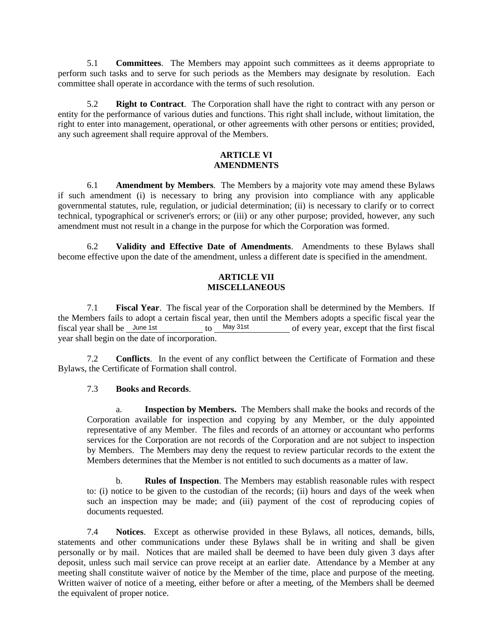5.1 **Committees**. The Members may appoint such committees as it deems appropriate to perform such tasks and to serve for such periods as the Members may designate by resolution. Each committee shall operate in accordance with the terms of such resolution.

5.2 **Right to Contract**. The Corporation shall have the right to contract with any person or entity for the performance of various duties and functions. This right shall include, without limitation, the right to enter into management, operational, or other agreements with other persons or entities; provided, any such agreement shall require approval of the Members.

### **ARTICLE VI AMENDMENTS**

6.1 **Amendment by Members**. The Members by a majority vote may amend these Bylaws if such amendment (i) is necessary to bring any provision into compliance with any applicable governmental statutes, rule, regulation, or judicial determination; (ii) is necessary to clarify or to correct technical, typographical or scrivener's errors; or (iii) or any other purpose; provided, however, any such amendment must not result in a change in the purpose for which the Corporation was formed.

6.2 **Validity and Effective Date of Amendments**. Amendments to these Bylaws shall become effective upon the date of the amendment, unless a different date is specified in the amendment.

# **ARTICLE VII MISCELLANEOUS**

7.1 **Fiscal Year**. The fiscal year of the Corporation shall be determined by the Members. If the Members fails to adopt a certain fiscal year, then until the Members adopts a specific fiscal year the fiscal year shall be June 1st to May 31st of every year, except that the first fiscal of every year, except that the first fiscal year shall begin on the date of incorporation. fiscal year shall be  $\lambda$  June 1st

7.2 **Conflicts**. In the event of any conflict between the Certificate of Formation and these Bylaws, the Certificate of Formation shall control.

# 7.3 **Books and Records**.

a. **Inspection by Members.** The Members shall make the books and records of the Corporation available for inspection and copying by any Member, or the duly appointed representative of any Member. The files and records of an attorney or accountant who performs services for the Corporation are not records of the Corporation and are not subject to inspection by Members. The Members may deny the request to review particular records to the extent the Members determines that the Member is not entitled to such documents as a matter of law.

b. **Rules of Inspection**. The Members may establish reasonable rules with respect to: (i) notice to be given to the custodian of the records; (ii) hours and days of the week when such an inspection may be made; and (iii) payment of the cost of reproducing copies of documents requested.

7.4 **Notices**. Except as otherwise provided in these Bylaws, all notices, demands, bills, statements and other communications under these Bylaws shall be in writing and shall be given personally or by mail. Notices that are mailed shall be deemed to have been duly given 3 days after deposit, unless such mail service can prove receipt at an earlier date. Attendance by a Member at any meeting shall constitute waiver of notice by the Member of the time, place and purpose of the meeting. Written waiver of notice of a meeting, either before or after a meeting, of the Members shall be deemed the equivalent of proper notice.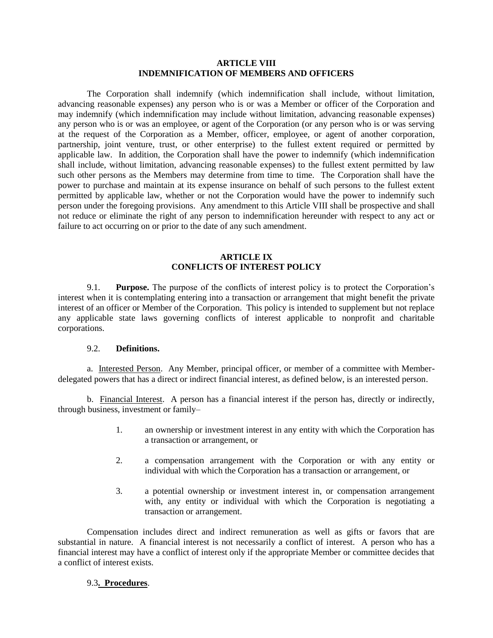### **ARTICLE VIII INDEMNIFICATION OF MEMBERS AND OFFICERS**

The Corporation shall indemnify (which indemnification shall include, without limitation, advancing reasonable expenses) any person who is or was a Member or officer of the Corporation and may indemnify (which indemnification may include without limitation, advancing reasonable expenses) any person who is or was an employee, or agent of the Corporation (or any person who is or was serving at the request of the Corporation as a Member, officer, employee, or agent of another corporation, partnership, joint venture, trust, or other enterprise) to the fullest extent required or permitted by applicable law. In addition, the Corporation shall have the power to indemnify (which indemnification shall include, without limitation, advancing reasonable expenses) to the fullest extent permitted by law such other persons as the Members may determine from time to time. The Corporation shall have the power to purchase and maintain at its expense insurance on behalf of such persons to the fullest extent permitted by applicable law, whether or not the Corporation would have the power to indemnify such person under the foregoing provisions. Any amendment to this Article VIII shall be prospective and shall not reduce or eliminate the right of any person to indemnification hereunder with respect to any act or failure to act occurring on or prior to the date of any such amendment.

## **ARTICLE IX CONFLICTS OF INTEREST POLICY**

9.1. **Purpose.** The purpose of the conflicts of interest policy is to protect the Corporation's interest when it is contemplating entering into a transaction or arrangement that might benefit the private interest of an officer or Member of the Corporation. This policy is intended to supplement but not replace any applicable state laws governing conflicts of interest applicable to nonprofit and charitable corporations.

### 9.2. **Definitions.**

a. Interested Person. Any Member, principal officer, or member of a committee with Memberdelegated powers that has a direct or indirect financial interest, as defined below, is an interested person.

b. Financial Interest. A person has a financial interest if the person has, directly or indirectly, through business, investment or family–

- 1. an ownership or investment interest in any entity with which the Corporation has a transaction or arrangement, or
- 2. a compensation arrangement with the Corporation or with any entity or individual with which the Corporation has a transaction or arrangement, or
- 3. a potential ownership or investment interest in, or compensation arrangement with, any entity or individual with which the Corporation is negotiating a transaction or arrangement.

Compensation includes direct and indirect remuneration as well as gifts or favors that are substantial in nature. A financial interest is not necessarily a conflict of interest. A person who has a financial interest may have a conflict of interest only if the appropriate Member or committee decides that a conflict of interest exists.

#### 9.3**. Procedures**.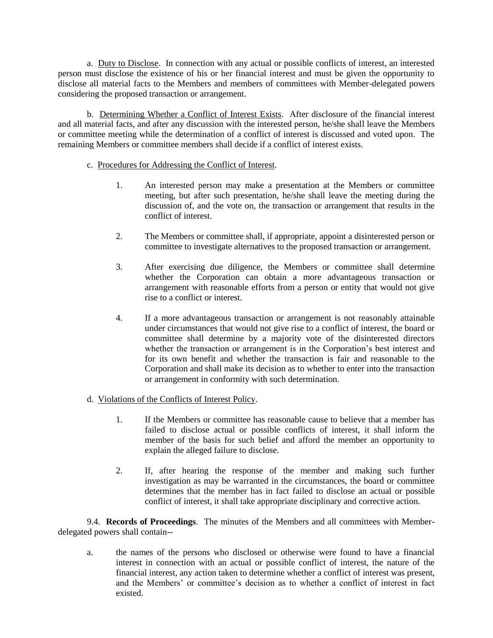a. Duty to Disclose. In connection with any actual or possible conflicts of interest, an interested person must disclose the existence of his or her financial interest and must be given the opportunity to disclose all material facts to the Members and members of committees with Member-delegated powers considering the proposed transaction or arrangement.

b. Determining Whether a Conflict of Interest Exists. After disclosure of the financial interest and all material facts, and after any discussion with the interested person, he/she shall leave the Members or committee meeting while the determination of a conflict of interest is discussed and voted upon. The remaining Members or committee members shall decide if a conflict of interest exists.

# c. Procedures for Addressing the Conflict of Interest.

- 1. An interested person may make a presentation at the Members or committee meeting, but after such presentation, he/she shall leave the meeting during the discussion of, and the vote on, the transaction or arrangement that results in the conflict of interest.
- 2. The Members or committee shall, if appropriate, appoint a disinterested person or committee to investigate alternatives to the proposed transaction or arrangement.
- 3. After exercising due diligence, the Members or committee shall determine whether the Corporation can obtain a more advantageous transaction or arrangement with reasonable efforts from a person or entity that would not give rise to a conflict or interest.
- 4. If a more advantageous transaction or arrangement is not reasonably attainable under circumstances that would not give rise to a conflict of interest, the board or committee shall determine by a majority vote of the disinterested directors whether the transaction or arrangement is in the Corporation's best interest and for its own benefit and whether the transaction is fair and reasonable to the Corporation and shall make its decision as to whether to enter into the transaction or arrangement in conformity with such determination.
- d. Violations of the Conflicts of Interest Policy.
	- 1. If the Members or committee has reasonable cause to believe that a member has failed to disclose actual or possible conflicts of interest, it shall inform the member of the basis for such belief and afford the member an opportunity to explain the alleged failure to disclose.
	- 2. If, after hearing the response of the member and making such further investigation as may be warranted in the circumstances, the board or committee determines that the member has in fact failed to disclose an actual or possible conflict of interest, it shall take appropriate disciplinary and corrective action.

9.4. **Records of Proceedings**. The minutes of the Members and all committees with Memberdelegated powers shall contain--

a. the names of the persons who disclosed or otherwise were found to have a financial interest in connection with an actual or possible conflict of interest, the nature of the financial interest, any action taken to determine whether a conflict of interest was present, and the Members' or committee's decision as to whether a conflict of interest in fact existed.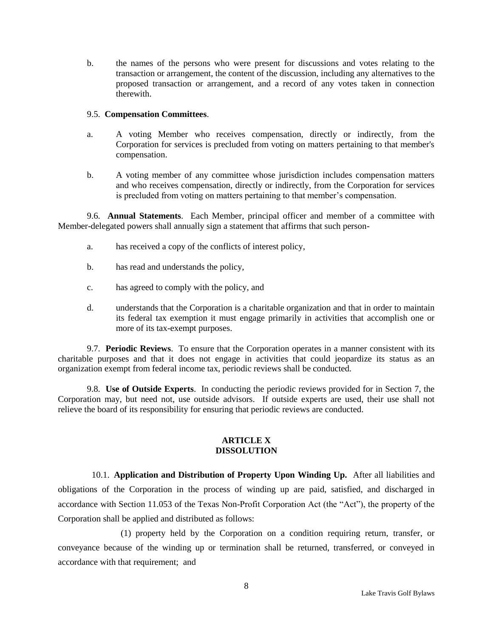b. the names of the persons who were present for discussions and votes relating to the transaction or arrangement, the content of the discussion, including any alternatives to the proposed transaction or arrangement, and a record of any votes taken in connection therewith.

### 9.5. **Compensation Committees**.

- a. A voting Member who receives compensation, directly or indirectly, from the Corporation for services is precluded from voting on matters pertaining to that member's compensation.
- b. A voting member of any committee whose jurisdiction includes compensation matters and who receives compensation, directly or indirectly, from the Corporation for services is precluded from voting on matters pertaining to that member's compensation.

9.6. **Annual Statements**. Each Member, principal officer and member of a committee with Member-delegated powers shall annually sign a statement that affirms that such person-

- a. has received a copy of the conflicts of interest policy,
- b. has read and understands the policy,
- c. has agreed to comply with the policy, and
- d. understands that the Corporation is a charitable organization and that in order to maintain its federal tax exemption it must engage primarily in activities that accomplish one or more of its tax-exempt purposes.

9.7. **Periodic Reviews**. To ensure that the Corporation operates in a manner consistent with its charitable purposes and that it does not engage in activities that could jeopardize its status as an organization exempt from federal income tax, periodic reviews shall be conducted.

9.8. **Use of Outside Experts**. In conducting the periodic reviews provided for in Section 7, the Corporation may, but need not, use outside advisors. If outside experts are used, their use shall not relieve the board of its responsibility for ensuring that periodic reviews are conducted.

#### **ARTICLE X DISSOLUTION**

10.1. **Application and Distribution of Property Upon Winding Up.** After all liabilities and obligations of the Corporation in the process of winding up are paid, satisfied, and discharged in accordance with Section 11.053 of the Texas Non-Profit Corporation Act (the "Act"), the property of the Corporation shall be applied and distributed as follows:

(1) property held by the Corporation on a condition requiring return, transfer, or conveyance because of the winding up or termination shall be returned, transferred, or conveyed in accordance with that requirement; and